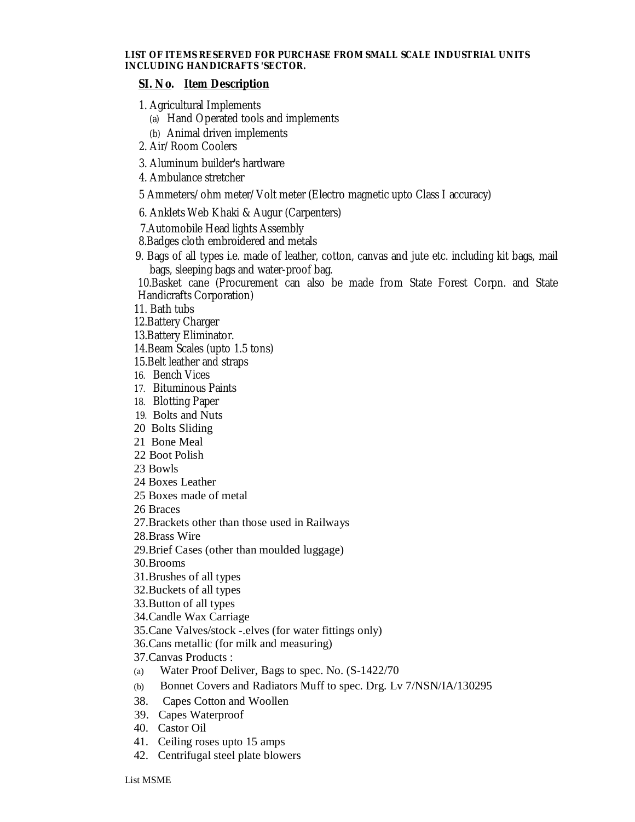## **LIST OF ITEMS RESERVED FOR PURCHASE FROM SMALL SCALE INDUSTRIAL UNITS INCLUDING HANDICRAFTS 'SECTOR.**

## **SI. No. Item Description**

- 1. Agricultural Implements
	- (a) Hand Operated tools and implements
	- (b) Animal driven implements
- 2. Air/Room Coolers
- 3. Aluminum builder's hardware
- 4. Ambulance stretcher
- 5 Ammeters/ohm meter/Volt meter (Electro magnetic upto Class I accuracy)
- 6. Anklets Web Khaki & Augur (Carpenters)
- 7.Automobile Head lights Assembly
- 8.Badges cloth embroidered and metals
- 9. Bags of all types i.e. made of leather, cotton, canvas and jute etc. including kit bags, mail bags, sleeping bags and water-proof bag.

10.Basket cane (Procurement can also be made from State Forest Corpn. and State Handicrafts Corporation)

- 11. Bath tubs
- 12.Battery Charger
- 13.Battery Eliminator.
- 14.Beam Scales (upto 1.5 tons)
- 15.Belt leather and straps
- 16. Bench Vices
- 17. Bituminous Paints
- 18. Blotting Paper
- 19. Bolts and Nuts
- 20 Bolts Sliding
- 21 Bone Meal
- 22 Boot Polish
- 23 Bowls
- 24 Boxes Leather
- 25 Boxes made of metal
- 26 Braces
- 27.Brackets other than those used in Railways
- 28.Brass Wire
- 29.Brief Cases (other than moulded luggage)
- 30.Brooms
- 31.Brushes of all types
- 32.Buckets of all types
- 33.Button of all types
- 34.Candle Wax Carriage
- 35.Cane Valves/stock -.elves (for water fittings only)
- 36.Cans metallic (for milk and measuring)
- 37.Canvas Products :
- (a) Water Proof Deliver, Bags to spec. No. (S-1422/70
- (b) Bonnet Covers and Radiators Muff to spec. Drg. Lv 7/NSN/IA/130295
- 38. Capes Cotton and Woollen
- 39. Capes Waterproof
- 40. Castor Oil
- 41. Ceiling roses upto 15 amps
- 42. Centrifugal steel plate blowers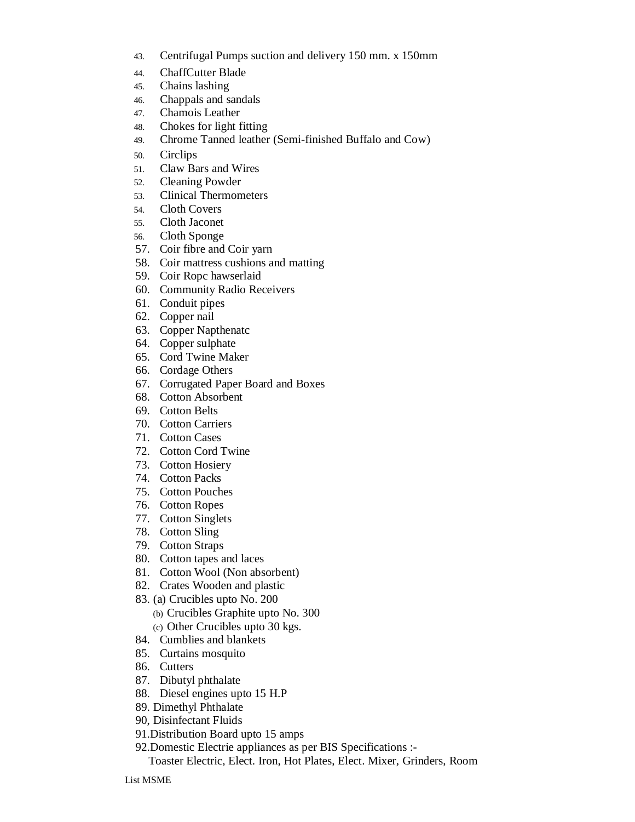- 43. Centrifugal Pumps suction and delivery 150 mm. x 150mm
- 44. ChaffCutter Blade
- 45. Chains lashing
- 46. Chappals and sandals
- 47. Chamois Leather
- 48. Chokes for light fitting
- 49. Chrome Tanned leather (Semi-finished Buffalo and Cow)
- 50. Circlips
- 51. Claw Bars and Wires
- 52. Cleaning Powder
- 53. Clinical Thermometers
- 54. Cloth Covers
- 55. Cloth Jaconet
- 56. Cloth Sponge
- 57. Coir fibre and Coir yarn
- 58. Coir mattress cushions and matting
- 59. Coir Ropc hawserlaid
- 60. Community Radio Receivers
- 61. Conduit pipes
- 62. Copper nail
- 63. Copper Napthenatc
- 64. Copper sulphate
- 65. Cord Twine Maker
- 66. Cordage Others
- 67. Corrugated Paper Board and Boxes
- 68. Cotton Absorbent
- 69. Cotton Belts
- 70. Cotton Carriers
- 71. Cotton Cases
- 72. Cotton Cord Twine
- 73. Cotton Hosiery
- 74. Cotton Packs
- 75. Cotton Pouches
- 76. Cotton Ropes
- 77. Cotton Singlets
- 78. Cotton Sling
- 79. Cotton Straps
- 80. Cotton tapes and laces
- 81. Cotton Wool (Non absorbent)
- 82. Crates Wooden and plastic
- 83. (a) Crucibles upto No. 200
	- (b) Crucibles Graphite upto No. 300 (c) Other Crucibles upto 30 kgs.
- 84. Cumblies and blankets
- 85. Curtains mosquito
- 86. Cutters
- 87. Dibutyl phthalate
- 88. Diesel engines upto 15 H.P
- 89. Dimethyl Phthalate
- 90, Disinfectant Fluids
- 91.Distribution Board upto 15 amps
- 92.Domestic Electrie appliances as per BIS Specifications :-

Toaster Electric, Elect. Iron, Hot Plates, Elect. Mixer, Grinders, Room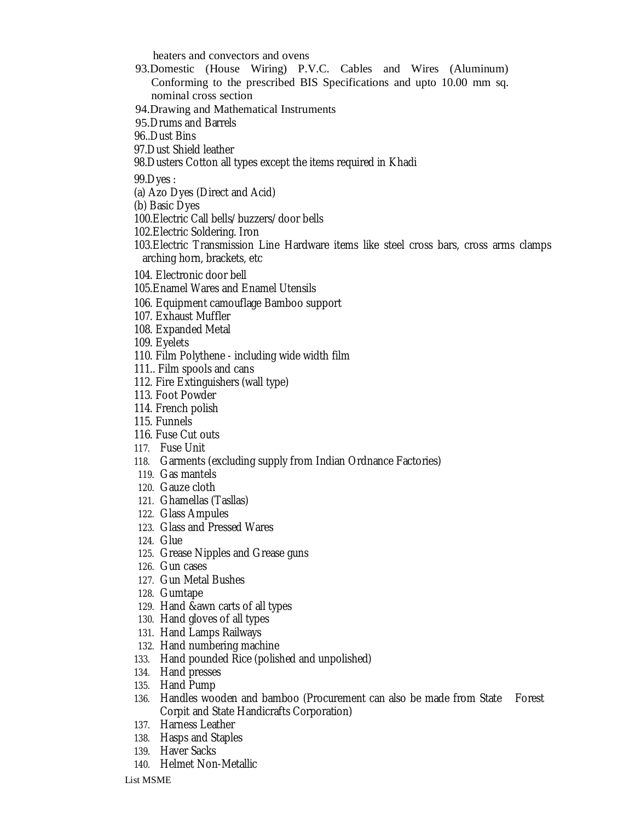heaters and convectors and ovens

- 93.Domestic (House Wiring) P.V.C. Cables and Wires (Aluminum) Conforming to the prescribed BIS Specifications and upto 10.00 mm sq. nominal cross section
- 94.Drawing and Mathematical Instruments
- 95.Drums and Barrels
- 96..Dust Bins
- 97.Dust Shield leather
- 98.Dusters Cotton all types except the items required in Khadi

99.Dyes :

- (a) Azo Dyes (Direct and Acid)
- (b) Basic Dyes
- 100.Electric Call bells/buzzers/door bells
- 102.Electric Soldering. Iron
- 103.Electric Transmission Line Hardware items like steel cross bars, cross arms clamps arching horn, brackets, etc
- 104. Electronic door bell
- 105.Enamel Wares and Enamel Utensils
- 106. Equipment camouflage Bamboo support
- 107. Exhaust Muffler
- 108. Expanded Metal
- 109. Eyelets
- 110. Film Polythene including wide width film
- 111.. Film spools and cans
- 112. Fire Extinguishers (wall type)
- 113. Foot Powder
- 114. French polish
- 115. Funnels
- 116. Fuse Cut outs
- 117. Fuse Unit
- 118. Garments (excluding supply from Indian Ordnance Factories)
- 119. Gas mantels
- 120. Gauze cloth
- 121. Ghamellas (Tasllas)
- 122. Glass Ampules
- 123. Glass and Pressed Wares
- 124. Glue
- 125. Grease Nipples and Grease guns
- 126. Gun cases
- 127. Gun Metal Bushes
- 128. Gumtape
- 129. Hand &awn carts of all types
- 130. Hand gloves of all types
- 131. Hand Lamps Railways
- 132. Hand numbering machine
- 133. Hand pounded Rice (polished and unpolished)
- 134. Hand presses
- 135. Hand Pump
- 136. Handles wooden and bamboo (Procurement can also be made from State Forest Corpit and State Handicrafts Corporation)
- 137. Harness Leather
- 138. Hasps and Staples
- 139. Haver Sacks
- 140. Helmet Non-Metallic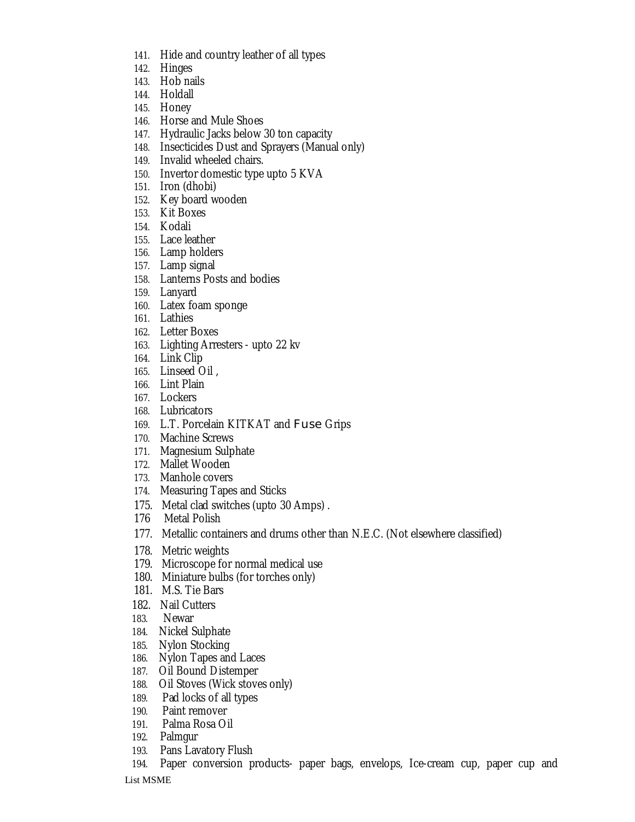- 141. Hide and country leather of all types
- 142. Hinges
- 143. Hob nails
- 144. Holdall
- 145. Honey
- 146. Horse and Mule Shoes
- 147. Hydraulic Jacks below 30 ton capacity
- 148. Insecticides Dust and Sprayers (Manual only)
- 149. Invalid wheeled chairs.
- 150. Invertor domestic type upto 5 KVA
- 151. Iron (dhobi)
- 152. Key board wooden
- 153. Kit Boxes
- 154. Kodali
- 155. Lace leather
- 156. Lamp holders
- 157. Lamp signal
- 158. Lanterns Posts and bodies
- 159. Lanyard
- 160. Latex foam sponge
- 161. Lathies
- 162. Letter Boxes
- 163. Lighting Arresters upto 22 kv
- 164. Link Clip
- 165. Linseed Oil ,
- 166. Lint Plain
- 167. Lockers
- 168. Lubricators
- 169. L.T. Porcelain KITKAT and Fuse Grips
- 170. Machine Screws
- 171. Magnesium Sulphate
- 172. Mallet Wooden
- 173. Manhole covers
- 174. Measuring Tapes and Sticks
- 175. Metal clad switches (upto 30 Amps) .
- 176 Metal Polish
- 177. Metallic containers and drums other than N.E.C. (Not elsewhere classified)
- 178. Metric weights
- 179. Microscope for normal medical use
- 180. Miniature bulbs (for torches only)
- 181. M.S. Tie Bars
- 182. Nail Cutters
- 183. Newar
- 184. Nickel Sulphate
- 185. Nylon Stocking
- 186. Nylon Tapes and Laces
- 187. Oil Bound Distemper
- 188. Oil Stoves (Wick stoves only)
- 189. Pad locks of all types
- 190. Paint remover
- 191. Palma Rosa Oil
- 192. Palmgur
- 193. Pans Lavatory Flush
- 194. Paper conversion products- paper bags, envelops, Ice-cream cup, paper cup and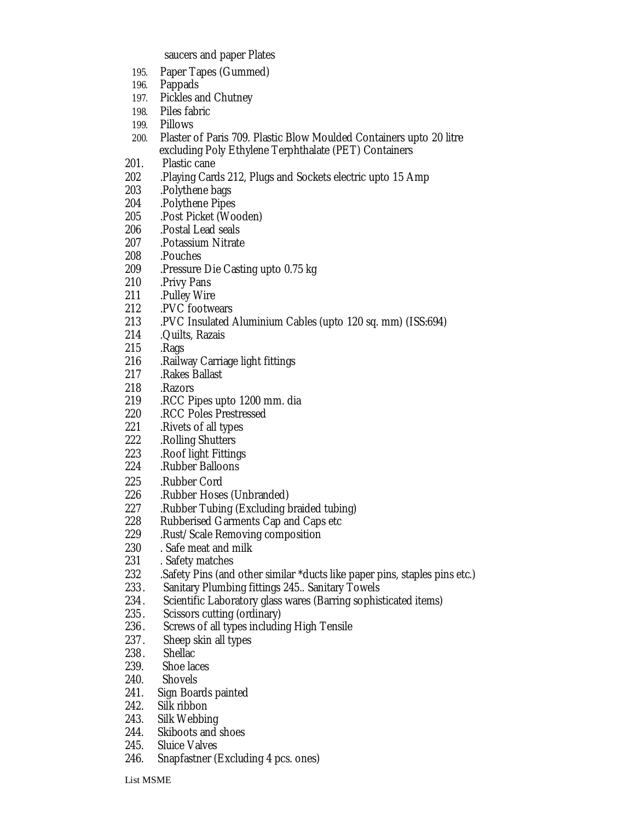saucers and paper Plates

- 195. Paper Tapes (Gummed)
- 196. Pappads
- 197. Pickles and Chutney
- 198. Piles fabric
- 199. Pillows
- 200. Plaster of Paris 709. Plastic Blow Moulded Containers upto 20 litre excluding Poly Ethylene Terphthalate (PET) Containers<br>201. Plastic cane
- Plastic cane
- 202 . Playing Cards 212, Plugs and Sockets electric upto 15 Amp<br>203 . Polythene bags
- 203 .Polythene bags
- 204 .Polythene Pipes
- 205 .Post Picket (Wooden)<br>206 .Postal Lead seals
- 206 .Postal Lead seals
- 207 .Potassium Nitrate<br>208 .Pouches
- 208 .Pouches<br>209 .Pressure
- .Pressure Die Casting upto 0.75 kg
- 210 .Privy Pans
- 211 .Pulley Wire
- 212 .PVC footwears
- 213 .PVC Insulated Aluminium Cables (upto 120 sq. mm) (ISS:694)
- 214 .Quilts, Razais<br>215 .Rags
- 215 .Rags<br>216 .Railw
- 216 .Railway Carriage light fittings<br>217 .Rakes Ballast
- 217 .Rakes Ballast<br>218 .Razors
- 218 .Razors<br>219 .RCC Pi
- 219 .RCC Pipes upto 1200 mm. dia
- 220 RCC Poles Prestressed<br>221 Rivets of all types
- 221 .Rivets of all types<br>222 .Rolling Shutters
- 
- 222 .Rolling Shutters 223 .Roof light Fittings<br>224 .Rubber Balloons
- 224 .Rubber Balloons
- 225 .Rubber Cord<br>226 .Rubber Hoses
- 
- 226 .Rubber Hoses (Unbranded)<br>227 .Rubber Tubing (Excluding b 227 . Rubber Tubing (Excluding braided tubing)<br>228 . Rubberised Garments Cap and Caps etc
- Rubberised Garments Cap and Caps etc
- 229 . Rust/Scale Removing composition<br>230 . Safe meat and milk
- 230 Safe meat and milk<br>231 Safety matches
- 231 D. Safety matches<br>232 D. Safety Pins (and
- 232 .Safety Pins (and other similar \*ducts like paper pins, staples pins etc.)<br>233. Sanitary Plumbing fittings 245..Sanitary Towels
- Sanitary Plumbing fittings 245.. Sanitary Towels
- 234. Scientific Laboratory glass wares (Barring sophisticated items)
- 235. Scissors cutting (ordinary)
- 236. Screws of all types including High Tensile<br>237. Sheep skin all types
- 237. Sheep skin all types<br>238. Shellac
- Shellac.
- 239. Shoe laces<br>240. Shovels
- 240. Shovels
- 241. Sign Boards painted<br>242. Silk ribbon
- 242. Silk ribbon<br>243. Silk Webbir
- 243. Silk Webbing<br>244. Skiboots and
- Skiboots and shoes
- 245. Sluice Valves
- 246. Snapfastner (Excluding 4 pcs. ones)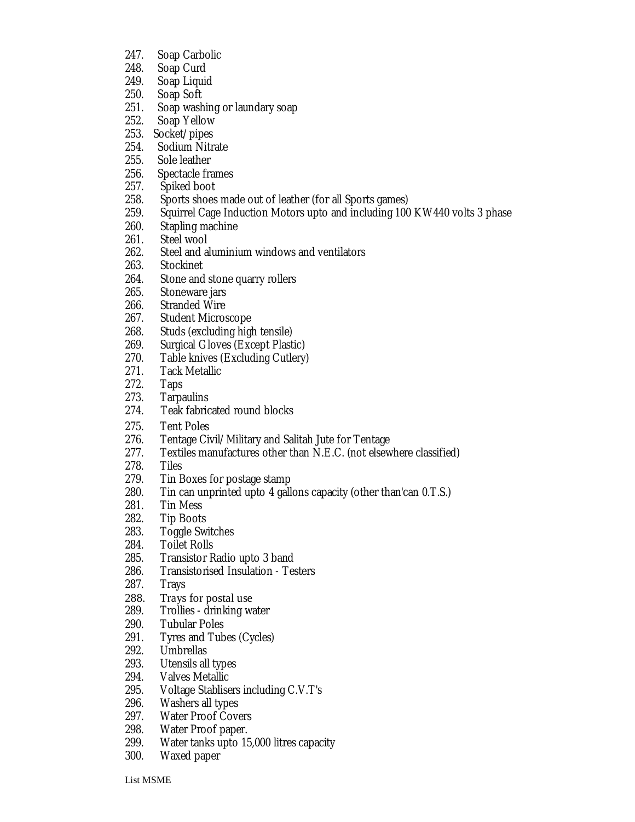- 247. Soap Carbolic
- 248. Soap Curd<br>249. Soap Liguio
- 249. Soap Liquid<br>250. Soap Soft
- Soap Soft
- 251. Soap washing or laundary soap
- 252. Soap Yellow
- 253. Socket/pipes
- 254. Sodium Nitrate
- 255. Sole leather
- 256. Spectacle frames<br>257. Spiked boot
- 257. Spiked boot
- 258. Sports shoes made out of leather (for all Sports games)<br>259. Squirrel Cage Induction Motors upto and including 100
- Squirrel Cage Induction Motors upto and including 100 KW440 volts 3 phase
- 260. Stapling machine
- 261. Steel wool<br>262. Steel and a
- 262. Steel and aluminium windows and ventilators<br>263. Stockinet
- **Stockinet**
- 264. Stone and stone quarry rollers<br>265. Stoneware jars
- Stoneware jars
- 266. Stranded Wire
- 267. Student Microscope<br>268. Studs (excludina hial
- 268. Studs (excluding high tensile)<br>269. Surgical Gloves (Except Plast
- 269. Surgical Gloves (Except Plastic)<br>270. Table knives (Excluding Cutlery)
- Table knives (Excluding Cutlery)
- 271. Tack Metallic
- 272. Taps
- 273. Tarpaulins<br>274. Teak fabric
- Teak fabricated round blocks
- 
- 275. Tent Poles<br>276. Tentage Civ Tentage Civil/Military and Salitah Jute for Tentage
- 277. Textiles manufactures other than N.E.C. (not elsewhere classified)
- 
- 278. Tiles<br>279. Tin E 279. Tin Boxes for postage stamp<br>280. Tin can unprinted upto 4 gall
- 280. Tin can unprinted upto 4 gallons capacity (other than'can 0.T.S.)<br>281. Tin Mess
- **Tin Mess**
- 282. Tip Boots
- 283. Toggle Switches<br>284. Toilet Rolls
- 284. Toilet Rolls<br>285. Transistor R
- 285. Transistor Radio upto 3 band<br>286. Transistorised Insulation Tes
- 286. Transistorised Insulation Testers<br>287. Travs
- **Trays**
- 288. Trays for postal use<br>289. Trollies drinking wa
- 289. Trollies drinking water<br>290. Tubular Poles
- 290. Tubular Poles<br>291. Tyres and Tub
- 291. Tyres and Tubes (Cycles)<br>292. Umbrellas
- Umbrellas
- 293. Utensils all types
- 294. Valves Metallic<br>295. Voltage Stablise
- 295. Voltage Stablisers including C.V.T's<br>296. Washers all types
- 296. Washers all types<br>297. Water Proof Cove
- Water Proof Covers
- 298. Water Proof paper.<br>299. Water tanks upto 1!
- 299. Water tanks upto 15,000 litres capacity
- Waxed paper